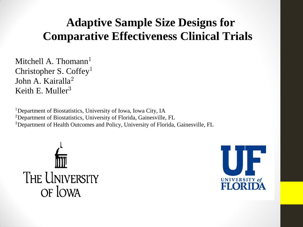## **Adaptive Sample Size Designs for Comparative Effectiveness Clinical Trials**

Mitchell A. Thomann<sup>1</sup> Christopher S. Coffey<sup>1</sup> John A. Kairalla<sup>2</sup> Keith E. Muller

<sup>1</sup>Department of Biostatistics, University of Iowa, Iowa City, IA Department of Biostatistics, University of Florida, Gainesville, FL <sup>3</sup>Department of Health Outcomes and Policy, University of Florida, Gainesville, FL



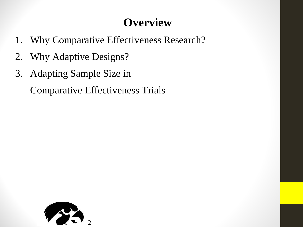## **Overview**

- 1. Why Comparative Effectiveness Research?
- 2. Why Adaptive Designs?
- 3. Adapting Sample Size in

Comparative Effectiveness Trials

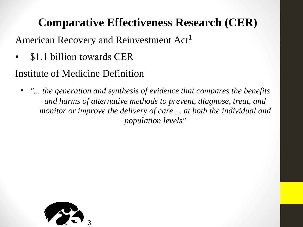# **Comparative Effectiveness Research (CER)**

American Recovery and Reinvestment Act<sup>1</sup>

• \$1.1 billion towards CER

Institute of Medicine Definition

• *"... the generation and synthesis of evidence that compares the benefits and harms of alternative methods to prevent, diagnose, treat, and monitor or improve the delivery of care ... at both the individual and population levels"*

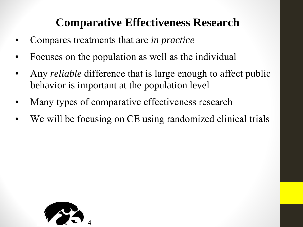## **Comparative Effectiveness Research**

- Compares treatments that are *in practice*
- Focuses on the population as well as the individual
- Any *reliable* difference that is large enough to affect public behavior is important at the population level
- Many types of comparative effectiveness research
- We will be focusing on CE using randomized clinical trials

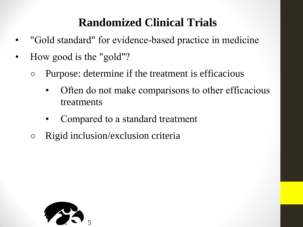## **Randomized Clinical Trials**

- "Gold standard" for evidence-based practice in medicine
- How good is the "gold"?
	- Purpose: determine if the treatment is efficacious
		- Often do not make comparisons to other efficacious treatments
		- Compared to a standard treatment
	- Rigid inclusion/exclusion criteria

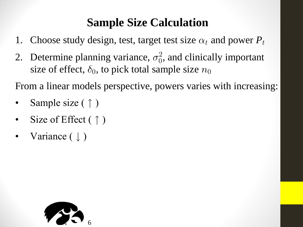## **Sample Size Calculation**

- 
- **1.** Choose study design, test, target test size  $\alpha_t$  and power  $P_t$ <br>
2. Determine planning variance,  $\sigma_0^2$ , and clinically important  $\overline{0}$ **Sample Size Calculation**<br>1. Choose study design, test, target test size  $\alpha_t$  and power  $P_t$ <br>2. Determine planning variance,  $\sigma_0^2$ , and clinically important<br>size of effect,  $\delta_0$ , to pick total sample size  $n_0$ <br>From 9.11 Sumpre Size Careamand<br>
1. Choose study design, test, target test size<br>
2. Determine planning variance,  $\sigma_0^2$ , and clin<br>
size of effect,  $\delta_0$ , to pick total sample size<br>
From a linear models perspective, powers v 2. Determine planning variance,  $\sigma_0^2$ , and clini<br>size of effect,  $\delta_0$ , to pick total sample size *n*<br>From a linear models perspective, powers varie<br>Sample size ( $\uparrow$ )<br>Size of Effect ( $\uparrow$ )<br>Variance ( $\downarrow$ ) 2. Determine planning variance,  $\sigma_0$ , and<br>size of effect,  $\delta_0$ , to pick total sample s<br>From a linear models perspective, powers<br>• Sample size (  $\uparrow$  )<br>• Size of Effect ( $\uparrow$  )<br>• Variance ( $\downarrow$ )

- 
- 
- 

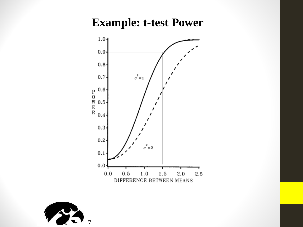#### **Example: t-test Power**



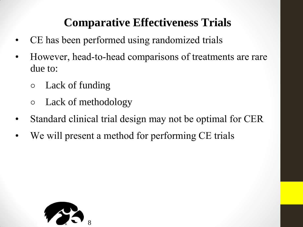## **Comparative Effectiveness Trials**

- CE has been performed using randomized trials
- However, head-to-head comparisons of treatments are rare due to:
	- Lack of funding
	- Lack of methodology
- Standard clinical trial design may not be optimal for CER
- We will present a method for performing CE trials

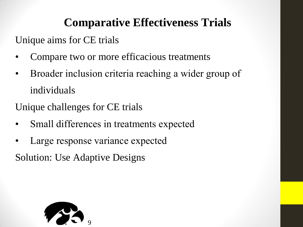## **Comparative Effectiveness Trials**

Unique aims for CE trials

- Compare two or more efficacious treatments
- Broader inclusion criteria reaching a wider group of individuals

Unique challenges for CE trials

- Small differences in treatments expected
- Large response variance expected

Solution: Use Adaptive Designs

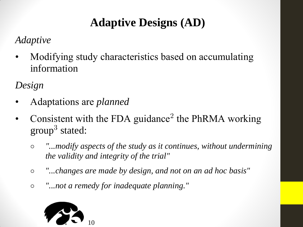# **Adaptive Designs (AD)**

#### *Adaptive*

• Modifying study characteristics based on accumulating information

*Design*

- Adaptations are *planned*
- Modifying study characteristics based on accumulating<br>information<br>Design<br>• Adaptations are planned<br>• Consistent with the FDA guidance<sup>2</sup> the PhRMA working<br>group<sup>3</sup> stated: Modifying stu<br>information<br>*ign*<br>Adaptations a:<br>Consistent with<br>group<sup>3</sup> stated:<br>o "...modify as
	- *"...modify aspects of the study as it continues, without undermining the validity and integrity of the trial"*
	- *"...changes are made by design, and not on an ad hoc basis"*
	- *"...not a remedy for inadequate planning."*

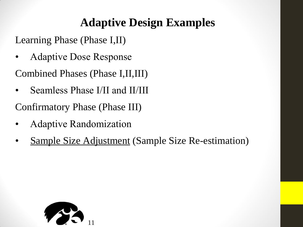## **Adaptive Design Examples**

Learning Phase (Phase I,II)

• Adaptive Dose Response

Combined Phases (Phase I,II,III)

• Seamless Phase I/II and II/III

Confirmatory Phase (Phase III)

- Adaptive Randomization
- Sample Size Adjustment (Sample Size Re-estimation)

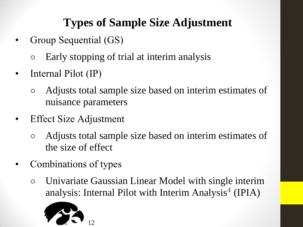# **Types of Sample Size Adjustment**

- Group Sequential (GS)
	- Early stopping of trial at interim analysis
- Internal Pilot (IP)
	- Adjusts total sample size based on interim estimates of nuisance parameters
- **Effect Size Adjustment** 
	- Adjusts total sample size based on interim estimates of the size of effect Execution Size Adjustment<br>Adjusts total sample size based on interim estimates of<br>the size of effect<br>mbinations of types<br>Univariate Gaussian Linear Model with single interir<br>analysis: Internal Pilot with Interim Analysis<sup>4</sup>
- Combinations of types
	- Univariate Gaussian Linear Model with single interim

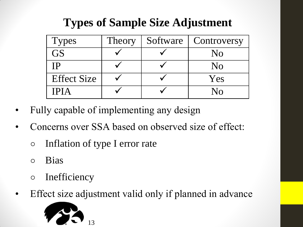# **Types of Sample Size Adjustment**

|                    | <b>Types of Sample Size Adjustment</b> |          |                |  |
|--------------------|----------------------------------------|----------|----------------|--|
| <b>Types</b>       | Theory                                 | Software | Controversy    |  |
| <b>GS</b>          |                                        |          | N <sub>0</sub> |  |
| IP                 |                                        |          | N <sub>0</sub> |  |
| <b>Effect Size</b> |                                        |          | Yes            |  |
|                    |                                        |          | No             |  |

- Fully capable of implementing any design
- Concerns over SSA based on observed size of effect:
	- Inflation of type I error rate
	- Bias
	- Inefficiency
- Effect size adjustment valid only if planned in advance

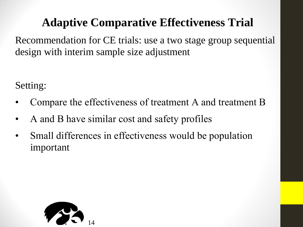Adaptive Comparative Effectiveness Trial<br>
Internation for CE trials: use a two stage group sequential Recommendation for CE trials: use a two stage group sequential design with interim sample size adjustment

Setting:

- Compare the effectiveness of treatment A and treatment B
- A and B have similar cost and safety profiles
- Small differences in effectiveness would be population important

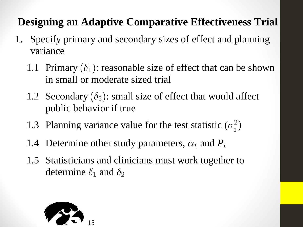## **Designing an Adaptive Comparative Effectiveness Trial**

- 1. Specify primary and secondary sizes of effect and planning variance
- **Example 3.1.1 Primary and secondary sizes of effectiveness Tria**<br>
Specify primary and secondary sizes of effect and planning<br>
1.1 Primary ( $\delta_1$ ): reasonable size of effect that can be shown<br>
in small or moderate sized in small or moderate sized trial **Example 3.1** Specify primary and secondary sizes of effect and plannivariance<br>1.1 Primary ( $\delta_1$ ): reasonable size of effect that can be show in small or moderate sized trial<br>1.2 Secondary ( $\delta_2$ ): small size of effect
	- public behavior if true 1.2 Secondary ( $o_2$ ): small size of effect that would affect<br>public behavior if true<br>1.3 Planning variance value for the test statistic ( $\sigma_o^2$ )<br>1.4 Determine other study parameters,  $\alpha_t$  and  $P_t$ <br>1.5 Statisticians and
	- 1.3 Planning variance value for the test statistic  $(\sigma_0^2)$
	-
	- 1.5 Statisticians and clinicians must work together to public behavior if true<br>Planning variance value for the test statistically extend the statistic<br>Determine other study parameters,  $\alpha_t$  and<br>Statisticians and clinicians must work toge<br>determine  $\delta_1$  and  $\delta_2$

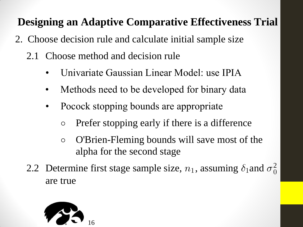## **Designing an Adaptive Comparative Effectiveness Trial**

- 2. Choose decision rule and calculate initial sample size
	- 2.1 Choose method and decision rule
		- Univariate Gaussian Linear Model: use IPIA
		- Methods need to be developed for binary data
		- Pocock stopping bounds are appropriate
			- Prefer stopping early if there is a difference
			- O'Brien-Fleming bounds will save most of the alpha for the second stage
	- 2.2 Determine first stage sample size,  $n_1$ , assuming  $\delta_1$  and  $\sigma_0^2$  $\int \int \text{d}x \, dx$ <br>  $\delta_1$  and  $\sigma_0^2$ are true

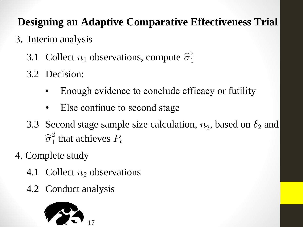## **Designing an Adaptive Comparative Effectiveness Trial**

- 3. Interim analysis
	- 3.1 Collect  $n_1$  observations, compute  $\hat{\sigma}_1^2$
	- 3.2 Decision:
		- Enough evidence to conclude efficacy or futility
		- Else continue to second stage
	- 3.3 Second stage sample size calculation,  $n_2$ , based on  $\delta_2$  and  $\widehat{\sigma}_{1}^{2}$  that achieves  $P$ that achieves  $P_t$
- 4. Complete study
	- 4.1 Collect  $n_2$  observations
	- 4.2 Conduct analysis

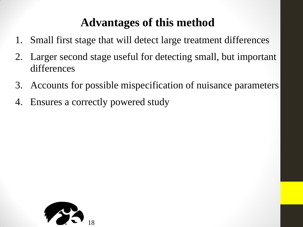## **Advantages of this method**

- 1. Small first stage that will detect large treatment differences
- 2. Larger second stage useful for detecting small, but important differences
- 3. Accounts for possible mispecification of nuisance parameters
- 4. Ensures a correctly powered study

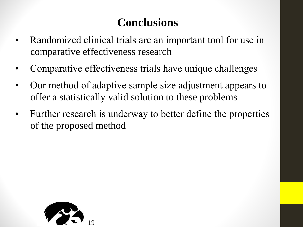## **Conclusions**

- Randomized clinical trials are an important tool for use in comparative effectiveness research
- Comparative effectiveness trials have unique challenges
- Our method of adaptive sample size adjustment appears to offer a statistically valid solution to these problems
- Further research is underway to better define the properties of the proposed method

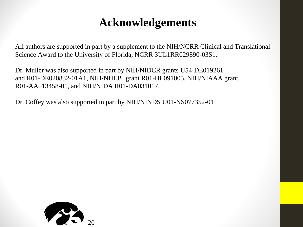### **Acknowledgements**

All authors are supported in part by a supplement to the NIH/NCRR Clinical and Translational Science Award to the University of Florida, NCRR 3UL1RR029890-03S1.

Dr. Muller was also supported in part by NIH/NIDCR grants U54-DE019261 and R01-DE020832-01A1, NIH/NHLBI grant R01-HL091005, NIH/NIAAA grant R01-AA013458-01, and NIH/NIDA R01-DA031017.

Dr. Coffey was also supported in part by NIH/NINDS U01-NS077352-01